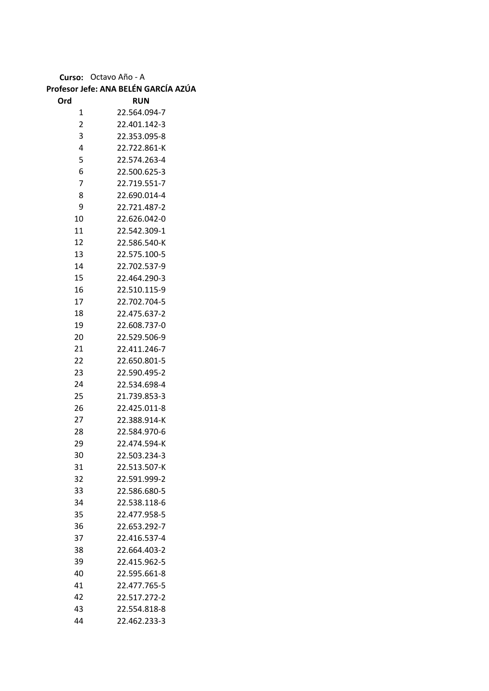**Curso:** Octavo Año - A

|     | Profesor Jefe: ANA BELÉN GARCÍA AZÚA |
|-----|--------------------------------------|
| Ord | <b>RUN</b>                           |

| υrα            | κυΝ          |
|----------------|--------------|
| 1              | 22.564.094-7 |
| $\overline{c}$ | 22.401.142-3 |
| 3              | 22.353.095-8 |
| 4              | 22.722.861-K |
| 5              | 22.574.263-4 |
| 6              | 22.500.625-3 |
| 7              | 22.719.551-7 |
| 8              | 22.690.014-4 |
| 9              | 22.721.487-2 |
| 10             | 22.626.042-0 |
| 11             | 22.542.309-1 |
| 12             | 22.586.540-K |
| 13             | 22.575.100-5 |
| 14             | 22.702.537-9 |
| 15             | 22.464.290-3 |
| 16             | 22.510.115-9 |
| 17             | 22.702.704-5 |
| 18             | 22.475.637-2 |
| 19             | 22.608.737-0 |
| 20             | 22.529.506-9 |
| 21             | 22.411.246-7 |
| 22             | 22.650.801-5 |
| 23             | 22.590.495-2 |
| 24             | 22.534.698-4 |
| 25             | 21.739.853-3 |
| 26             | 22.425.011-8 |
| 27             | 22.388.914-K |
| 28             | 22.584.970-6 |
| 29             | 22.474.594-K |
| 30             | 22.503.234-3 |
| 31             | 22.513.507-K |
| 32             | 22.591.999-2 |
| 33             | 22.586.680-5 |
| 34             | 22.538.118-6 |
| 35             | 22.477.958-5 |
| 36             | 22.653.292-7 |
| 37             | 22.416.537-4 |
| 38             | 22.664.403-2 |
| 39             | 22.415.962-5 |
| 40             | 22.595.661-8 |
| 41             | 22.477.765-5 |
| 42             | 22.517.272-2 |
| 43             | 22.554.818-8 |
| 44             | 22.462.233-3 |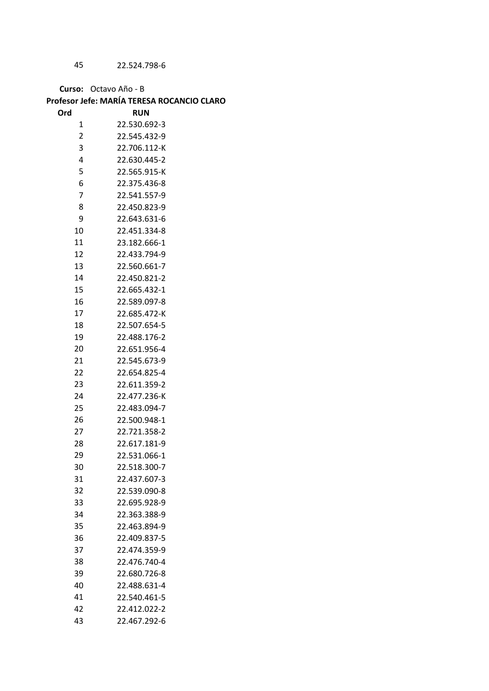22.524.798-6

**Curso:** Octavo Año - B

## **Profesor Jefe: MARÍA TERESA ROCANCIO CLARO**

| Ord            | <b>RUN</b>   |
|----------------|--------------|
| 1              | 22.530.692-3 |
| $\overline{2}$ | 22.545.432-9 |
| 3              | 22.706.112-K |
| 4              | 22.630.445-2 |
| 5              | 22.565.915-K |
| 6              | 22.375.436-8 |
| $\overline{7}$ | 22.541.557-9 |
| 8              | 22.450.823-9 |
| 9              | 22.643.631-6 |
| 10             | 22.451.334-8 |
| 11             | 23.182.666-1 |
| 12             | 22.433.794-9 |
| 13             | 22.560.661-7 |
| 14             | 22.450.821-2 |
| 15             | 22.665.432-1 |
| 16             | 22.589.097-8 |
| 17             | 22.685.472-K |
| 18             | 22.507.654-5 |
| 19             | 22.488.176-2 |
| 20             | 22.651.956-4 |
| 21             | 22.545.673-9 |
| 22             | 22.654.825-4 |
| 23             | 22.611.359-2 |
| 24             | 22.477.236-K |
| 25             | 22.483.094-7 |
| 26             | 22.500.948-1 |
| 27             | 22.721.358-2 |
| 28             | 22.617.181-9 |
| 29             | 22.531.066-1 |
| 30             | 22.518.300-7 |
| 31             | 22.437.607-3 |
| 32             | 22.539.090-8 |
| 33             | 22.695.928-9 |
| 34             | 22.363.388-9 |
| 35             | 22.463.894-9 |
| 36             | 22.409.837-5 |
| 37             | 22.474.359-9 |
| 38             | 22.476.740-4 |
| 39             | 22.680.726-8 |
| 40             | 22.488.631-4 |
| 41             | 22.540.461-5 |
| 42             | 22.412.022-2 |
| 43             | 22.467.292-6 |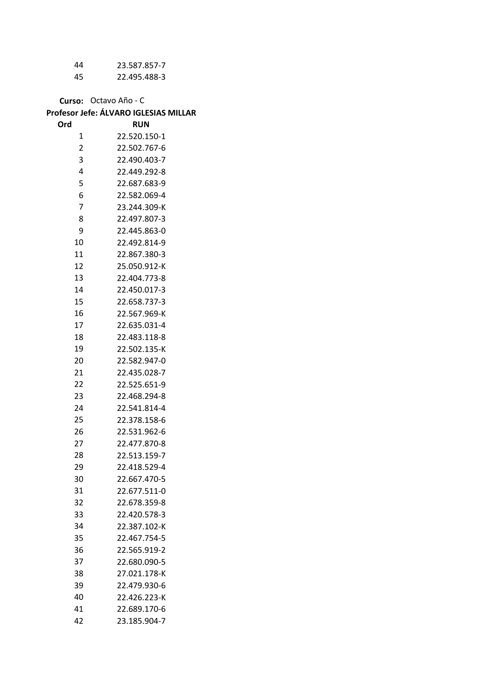| 44 | 23.587.857-7 |
|----|--------------|
| 45 | 22.495.488-3 |

**Curso:** Octavo Año - C

## **Profesor Jefe: ÁLVARO IGLESIAS MILLAR**

| Ord                     | <b>RUN</b>   |
|-------------------------|--------------|
| 1                       | 22.520.150-1 |
| $\overline{\mathbf{c}}$ | 22.502.767-6 |
| 3                       | 22.490.403-7 |
| 4                       | 22.449.292-8 |
| 5                       | 22.687.683-9 |
| 6                       | 22.582.069-4 |
| 7                       | 23.244.309-K |
| 8                       | 22.497.807-3 |
| 9                       | 22.445.863-0 |
| 10                      | 22.492.814-9 |
| 11                      | 22.867.380-3 |
| 12                      | 25.050.912-K |
| 13                      | 22.404.773-8 |
| 14                      | 22.450.017-3 |
| 15                      | 22.658.737-3 |
| 16                      | 22.567.969-K |
| 17                      | 22.635.031-4 |
| 18                      | 22.483.118-8 |
| 19                      | 22.502.135-K |
| 20                      | 22.582.947-0 |
| 21                      | 22.435.028-7 |
| 22                      | 22.525.651-9 |
| 23                      | 22.468.294-8 |
| 24                      | 22.541.814-4 |
| 25                      | 22.378.158-6 |
| 26                      | 22.531.962-6 |
| 27                      | 22.477.870-8 |
| 28                      | 22.513.159-7 |
| 29                      | 22.418.529-4 |
| 30                      | 22.667.470-5 |
| 31                      | 22.677.511-0 |
| 32                      | 22.678.359-8 |
| 33                      | 22.420.578-3 |
| 34                      | 22.387.102-K |
| 35                      | 22.467.754-5 |
| 36                      | 22.565.919-2 |
| 37                      | 22.680.090-5 |
| 38                      | 27.021.178-K |
| 39                      | 22.479.930-6 |
| 40<br>41                | 22.426.223-K |
|                         | 22.689.170-6 |
| 42                      | 23.185.904-7 |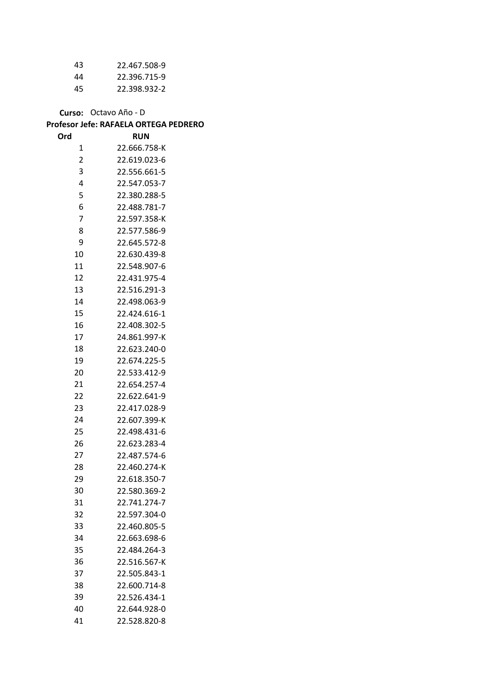| 43 | 22.467.508-9 |
|----|--------------|
| 44 | 22.396.715-9 |
| 45 | 22.398.932-2 |

**Curso:** Octavo Año - D **Profesor Jefe: RAFAELA ORTEGA PEDRERO**

| Ord            | <b>RUN</b>   |
|----------------|--------------|
| 1              | 22.666.758-K |
| $\overline{c}$ | 22.619.023-6 |
| 3              | 22.556.661-5 |
| 4              | 22.547.053-7 |
| 5              | 22.380.288-5 |
| 6              | 22.488.781-7 |
| 7              | 22.597.358-K |
| 8              | 22.577.586-9 |
| 9              | 22.645.572-8 |
| 10             | 22.630.439-8 |
| 11             | 22.548.907-6 |
| 12             | 22.431.975-4 |
| 13             | 22.516.291-3 |
| 14             | 22.498.063-9 |
| 15             | 22.424.616-1 |
| 16             | 22.408.302-5 |
| 17             | 24.861.997-K |
| 18             | 22.623.240-0 |
| 19             | 22.674.225-5 |
| 20             | 22.533.412-9 |
| 21             | 22.654.257-4 |
| 22             | 22.622.641-9 |
| 23             | 22.417.028-9 |
| 24             | 22.607.399-K |
| 25             | 22.498.431-6 |
| 26             | 22.623.283-4 |
| 27             | 22.487.574-6 |
| 28             | 22.460.274-K |
| 29             | 22.618.350-7 |
| 30             | 22.580.369-2 |
| 31             | 22.741.274-7 |
| 32             | 22.597.304-0 |
| 33             | 22.460.805-5 |
| 34             | 22.663.698-6 |
| 35             | 22.484.264-3 |
| 36             | 22.516.567-K |
| 37             | 22.505.843-1 |
| 38             | 22.600.714-8 |
| 39             | 22.526.434-1 |
| 40             | 22.644.928-0 |
| 41             | 22.528.820-8 |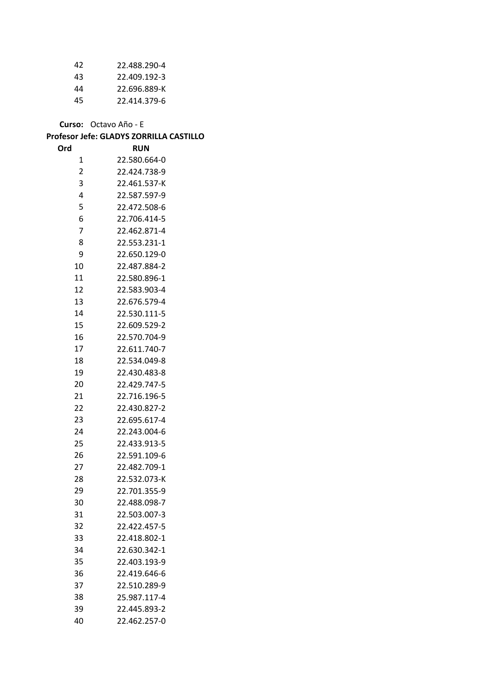| 42 | 22.488.290-4 |
|----|--------------|
| 43 | 22.409.192-3 |
| 44 | 22.696.889-K |
| 45 | 22.414.379-6 |

**Curso:** Octavo Año - E

## **Profesor Jefe: GLADYS ZORRILLA CASTILLO**

| Ord            | RUN          |
|----------------|--------------|
| 1              | 22.580.664-0 |
| $\overline{2}$ | 22.424.738-9 |
| 3              | 22.461.537-K |
| 4              | 22.587.597-9 |
| 5              | 22.472.508-6 |
| 6              | 22.706.414-5 |
| 7              | 22.462.871-4 |
| 8              | 22.553.231-1 |
| 9              | 22.650.129-0 |
| 10             | 22.487.884-2 |
| 11             | 22.580.896-1 |
| 12             | 22.583.903-4 |
| 13             | 22.676.579-4 |
| 14             | 22.530.111-5 |
| 15             | 22.609.529-2 |
| 16             | 22.570.704-9 |
| 17             | 22.611.740-7 |
| 18             | 22.534.049-8 |
| 19             | 22.430.483-8 |
| 20             | 22.429.747-5 |
| 21             | 22.716.196-5 |
| 22             | 22.430.827-2 |
| 23             | 22.695.617-4 |
| 24             | 22.243.004-6 |
| 25             | 22.433.913-5 |
| 26             | 22.591.109-6 |
| 27             | 22.482.709-1 |
| 28             | 22.532.073-K |
| 29             | 22.701.355-9 |
| 30             | 22.488.098-7 |
| 31             | 22.503.007-3 |
| 32             | 22.422.457-5 |
| 33             | 22.418.802-1 |
| 34             | 22.630.342-1 |
| 35             | 22.403.193-9 |
| 36             | 22.419.646-6 |
| 37             | 22.510.289-9 |
| 38             | 25.987.117-4 |
| 39             | 22.445.893-2 |
| 40             | 22.462.257-0 |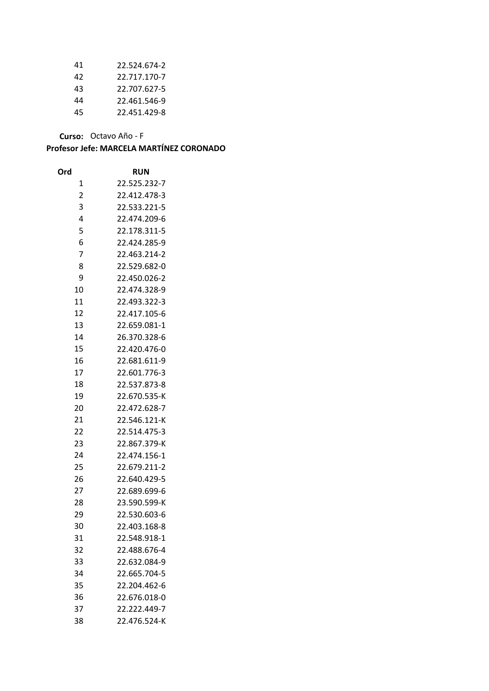| 41  | 22.524.674-2 |
|-----|--------------|
| 42  | 22.717.170-7 |
| 43  | 22.707.627-5 |
| 44  | 22.461.546-9 |
| 45. | 22.451.429-8 |

**Curso:** Octavo Año - F

| Ord            | RUN          |
|----------------|--------------|
| 1              | 22.525.232-7 |
| $\overline{2}$ | 22.412.478-3 |
| 3              | 22.533.221-5 |
| 4              | 22.474.209-6 |
| 5              | 22.178.311-5 |
| 6              | 22.424.285-9 |
| 7              | 22.463.214-2 |
| 8              | 22.529.682-0 |
| 9              | 22.450.026-2 |
| 10             | 22.474.328-9 |
| 11             | 22.493.322-3 |
| 12             | 22.417.105-6 |
| 13             | 22.659.081-1 |
| 14             | 26.370.328-6 |
| 15             | 22.420.476-0 |
| 16             | 22.681.611-9 |
| 17             | 22.601.776-3 |
| 18             | 22.537.873-8 |
| 19             | 22.670.535-K |
| 20             | 22.472.628-7 |
| 21             | 22.546.121-K |
| 22             | 22.514.475-3 |
| 23             | 22.867.379-K |
| 24             | 22.474.156-1 |
| 25             | 22.679.211-2 |
| 26             | 22.640.429-5 |
| 27             | 22.689.699-6 |
| 28             | 23.590.599-K |
| 29             | 22.530.603-6 |
| 30             | 22.403.168-8 |
| 31             | 22.548.918-1 |
| 32             | 22.488.676-4 |
| 33             | 22.632.084-9 |
| 34             | 22.665.704-5 |
| 35             | 22.204.462-6 |
| 36             | 22.676.018-0 |
| 37             | 22.222.449-7 |
| 38             | 22.476.524-K |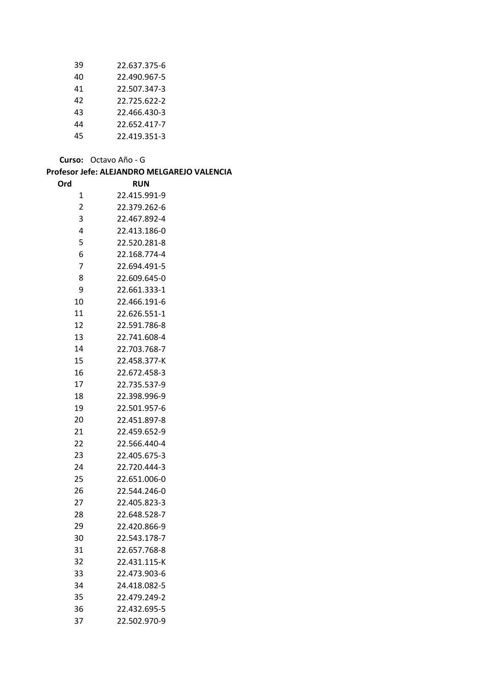| 39 | 22.637.375-6 |
|----|--------------|
| 40 | 22.490.967-5 |
| 41 | 22.507.347-3 |
| 42 | 22.725.622-2 |
| 43 | 22.466.430-3 |
| 44 | 22.652.417-7 |
| 45 | 22.419.351-3 |

**Curso:** Octavo Año - G

| Profesor Jefe: ALEJANDRO MELGAREJO VALENCIA |              |  |
|---------------------------------------------|--------------|--|
| Ord                                         | <b>RUN</b>   |  |
| 1                                           | 22.415.991-9 |  |
| $\overline{2}$                              | 22.379.262-6 |  |
| 3                                           | 22.467.892-4 |  |
| 4                                           | 22.413.186-0 |  |
| 5                                           | 22.520.281-8 |  |
| 6                                           | 22.168.774-4 |  |
| 7                                           | 22.694.491-5 |  |
| 8                                           | 22.609.645-0 |  |
| 9                                           | 22.661.333-1 |  |
| 10                                          | 22.466.191-6 |  |
| 11                                          | 22.626.551-1 |  |
| 12                                          | 22.591.786-8 |  |
| 13                                          | 22.741.608-4 |  |
| 14                                          | 22.703.768-7 |  |
| 15                                          | 22.458.377-K |  |
| 16                                          | 22.672.458-3 |  |
| 17                                          | 22.735.537-9 |  |
| 18                                          | 22.398.996-9 |  |
| 19                                          | 22.501.957-6 |  |
| 20                                          | 22.451.897-8 |  |
| 21                                          | 22.459.652-9 |  |
| 22                                          | 22.566.440-4 |  |
| 23                                          | 22.405.675-3 |  |
| 24                                          | 22.720.444-3 |  |
| 25                                          | 22.651.006-0 |  |
| 26                                          | 22.544.246-0 |  |
| 27                                          | 22.405.823-3 |  |
| 28                                          | 22.648.528-7 |  |
| 29                                          | 22.420.866-9 |  |
| 30                                          | 22.543.178-7 |  |
| 31                                          | 22.657.768-8 |  |
| 32                                          | 22.431.115-K |  |
| 33                                          | 22.473.903-6 |  |
| 34                                          | 24.418.082-5 |  |
| 35                                          | 22.479.249-2 |  |
| 36                                          | 22.432.695-5 |  |
| 37                                          | 22.502.970-9 |  |